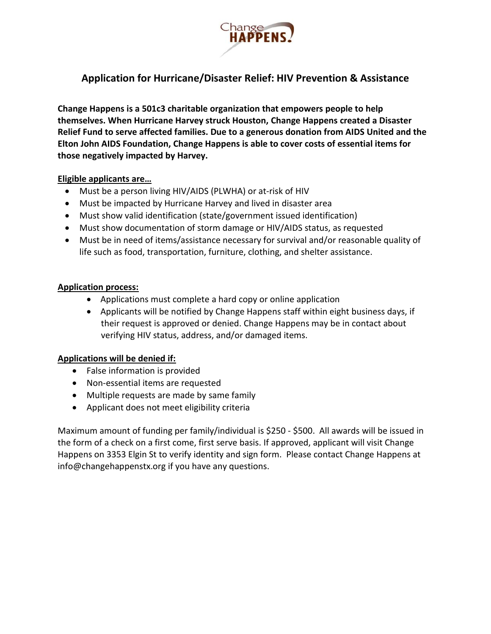

# **Application for Hurricane/Disaster Relief: HIV Prevention & Assistance**

**Change Happens is a 501c3 charitable organization that empowers people to help themselves. When Hurricane Harvey struck Houston, Change Happens created a Disaster Relief Fund to serve affected families. Due to a generous donation from AIDS United and the Elton John AIDS Foundation, Change Happens is able to cover costs of essential items for those negatively impacted by Harvey.**

## **Eligible applicants are…**

- Must be a person living HIV/AIDS (PLWHA) or at-risk of HIV
- Must be impacted by Hurricane Harvey and lived in disaster area
- Must show valid identification (state/government issued identification)
- Must show documentation of storm damage or HIV/AIDS status, as requested
- Must be in need of items/assistance necessary for survival and/or reasonable quality of life such as food, transportation, furniture, clothing, and shelter assistance.

### **Application process:**

- Applications must complete a hard copy or online application
- Applicants will be notified by Change Happens staff within eight business days, if their request is approved or denied. Change Happens may be in contact about verifying HIV status, address, and/or damaged items.

## **Applications will be denied if:**

- False information is provided
- Non-essential items are requested
- Multiple requests are made by same family
- Applicant does not meet eligibility criteria

Maximum amount of funding per family/individual is \$250 - \$500. All awards will be issued in the form of a check on a first come, first serve basis. If approved, applicant will visit Change Happens on 3353 Elgin St to verify identity and sign form. Please contact Change Happens at info@changehappenstx.org if you have any questions.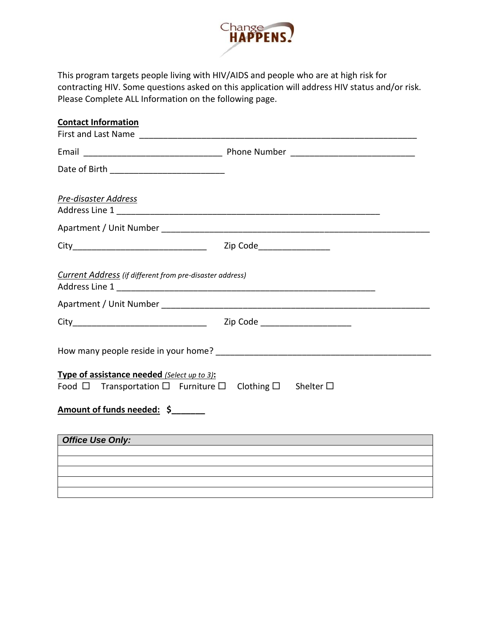

This program targets people living with HIV/AIDS and people who are at high risk for contracting HIV. Some questions asked on this application will address HIV status and/or risk. Please Complete ALL Information on the following page.

| <b>Contact Information</b>                                                                                                       |  |
|----------------------------------------------------------------------------------------------------------------------------------|--|
|                                                                                                                                  |  |
|                                                                                                                                  |  |
|                                                                                                                                  |  |
| Pre-disaster Address                                                                                                             |  |
|                                                                                                                                  |  |
|                                                                                                                                  |  |
| Current Address (if different from pre-disaster address)                                                                         |  |
|                                                                                                                                  |  |
|                                                                                                                                  |  |
|                                                                                                                                  |  |
| Type of assistance needed (Select up to 3):<br>Food $\Box$ Transportation $\Box$ Furniture $\Box$ Clothing $\Box$ Shelter $\Box$ |  |
| Amount of funds needed: \$                                                                                                       |  |
| <b>Office Use Only:</b>                                                                                                          |  |
|                                                                                                                                  |  |
|                                                                                                                                  |  |
|                                                                                                                                  |  |
|                                                                                                                                  |  |